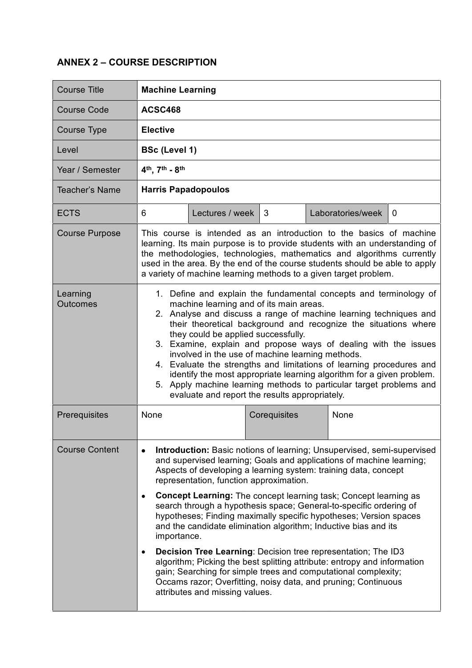## **ANNEX 2 – COURSE DESCRIPTION**

| <b>Course Title</b>         | <b>Machine Learning</b>                                                                                                                                                                                                                                                                                                                                                                                                                                                                                                                                                                                                                                                                                                                                                                                                                                                                                                       |  |  |  |  |  |  |  |
|-----------------------------|-------------------------------------------------------------------------------------------------------------------------------------------------------------------------------------------------------------------------------------------------------------------------------------------------------------------------------------------------------------------------------------------------------------------------------------------------------------------------------------------------------------------------------------------------------------------------------------------------------------------------------------------------------------------------------------------------------------------------------------------------------------------------------------------------------------------------------------------------------------------------------------------------------------------------------|--|--|--|--|--|--|--|
| <b>Course Code</b>          | ACSC468                                                                                                                                                                                                                                                                                                                                                                                                                                                                                                                                                                                                                                                                                                                                                                                                                                                                                                                       |  |  |  |  |  |  |  |
| Course Type                 | <b>Elective</b>                                                                                                                                                                                                                                                                                                                                                                                                                                                                                                                                                                                                                                                                                                                                                                                                                                                                                                               |  |  |  |  |  |  |  |
| Level                       | <b>BSc (Level 1)</b>                                                                                                                                                                                                                                                                                                                                                                                                                                                                                                                                                                                                                                                                                                                                                                                                                                                                                                          |  |  |  |  |  |  |  |
| Year / Semester             | 4 <sup>th</sup> , 7 <sup>th</sup> - 8 <sup>th</sup>                                                                                                                                                                                                                                                                                                                                                                                                                                                                                                                                                                                                                                                                                                                                                                                                                                                                           |  |  |  |  |  |  |  |
| Teacher's Name              | <b>Harris Papadopoulos</b>                                                                                                                                                                                                                                                                                                                                                                                                                                                                                                                                                                                                                                                                                                                                                                                                                                                                                                    |  |  |  |  |  |  |  |
| <b>ECTS</b>                 | 6<br>Lectures / week<br>$\mathbf{3}$<br>Laboratories/week<br>$\Omega$                                                                                                                                                                                                                                                                                                                                                                                                                                                                                                                                                                                                                                                                                                                                                                                                                                                         |  |  |  |  |  |  |  |
| <b>Course Purpose</b>       | This course is intended as an introduction to the basics of machine<br>learning. Its main purpose is to provide students with an understanding of<br>the methodologies, technologies, mathematics and algorithms currently<br>used in the area. By the end of the course students should be able to apply<br>a variety of machine learning methods to a given target problem.                                                                                                                                                                                                                                                                                                                                                                                                                                                                                                                                                 |  |  |  |  |  |  |  |
| Learning<br><b>Outcomes</b> | 1. Define and explain the fundamental concepts and terminology of<br>machine learning and of its main areas.<br>2. Analyse and discuss a range of machine learning techniques and<br>their theoretical background and recognize the situations where<br>they could be applied successfully.<br>3. Examine, explain and propose ways of dealing with the issues<br>involved in the use of machine learning methods.<br>4. Evaluate the strengths and limitations of learning procedures and<br>identify the most appropriate learning algorithm for a given problem.<br>5. Apply machine learning methods to particular target problems and<br>evaluate and report the results appropriately.                                                                                                                                                                                                                                  |  |  |  |  |  |  |  |
| Prerequisites               | None<br>Corequisites<br>None                                                                                                                                                                                                                                                                                                                                                                                                                                                                                                                                                                                                                                                                                                                                                                                                                                                                                                  |  |  |  |  |  |  |  |
| <b>Course Content</b>       | <b>Introduction:</b> Basic notions of learning; Unsupervised, semi-supervised<br>٠<br>and supervised learning; Goals and applications of machine learning;<br>Aspects of developing a learning system: training data, concept<br>representation, function approximation.<br><b>Concept Learning:</b> The concept learning task; Concept learning as<br>$\bullet$<br>search through a hypothesis space; General-to-specific ordering of<br>hypotheses; Finding maximally specific hypotheses; Version spaces<br>and the candidate elimination algorithm; Inductive bias and its<br>importance.<br>Decision Tree Learning: Decision tree representation; The ID3<br>$\bullet$<br>algorithm; Picking the best splitting attribute: entropy and information<br>gain; Searching for simple trees and computational complexity;<br>Occams razor; Overfitting, noisy data, and pruning; Continuous<br>attributes and missing values. |  |  |  |  |  |  |  |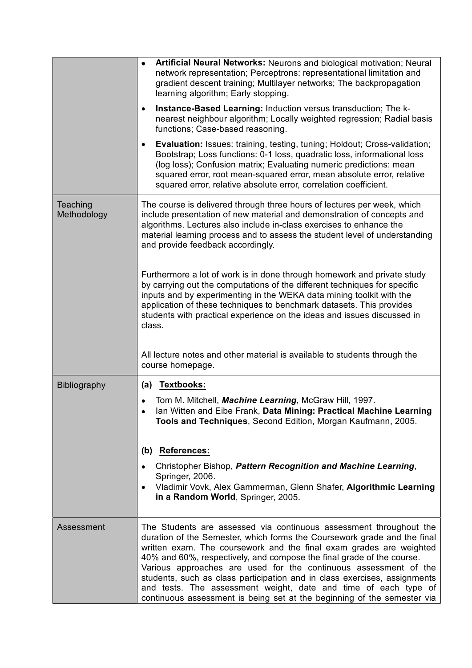|                         | Artificial Neural Networks: Neurons and biological motivation; Neural<br>$\bullet$<br>network representation; Perceptrons: representational limitation and<br>gradient descent training; Multilayer networks; The backpropagation<br>learning algorithm; Early stopping.<br>Instance-Based Learning: Induction versus transduction; The k-<br>$\bullet$<br>nearest neighbour algorithm; Locally weighted regression; Radial basis<br>functions; Case-based reasoning.<br><b>Evaluation:</b> Issues: training, testing, tuning; Holdout; Cross-validation;<br>Bootstrap; Loss functions: 0-1 loss, quadratic loss, informational loss |
|-------------------------|--------------------------------------------------------------------------------------------------------------------------------------------------------------------------------------------------------------------------------------------------------------------------------------------------------------------------------------------------------------------------------------------------------------------------------------------------------------------------------------------------------------------------------------------------------------------------------------------------------------------------------------|
|                         | (log loss); Confusion matrix; Evaluating numeric predictions: mean<br>squared error, root mean-squared error, mean absolute error, relative<br>squared error, relative absolute error, correlation coefficient.                                                                                                                                                                                                                                                                                                                                                                                                                      |
| Teaching<br>Methodology | The course is delivered through three hours of lectures per week, which<br>include presentation of new material and demonstration of concepts and<br>algorithms. Lectures also include in-class exercises to enhance the<br>material learning process and to assess the student level of understanding<br>and provide feedback accordingly.                                                                                                                                                                                                                                                                                          |
|                         | Furthermore a lot of work is in done through homework and private study<br>by carrying out the computations of the different techniques for specific<br>inputs and by experimenting in the WEKA data mining toolkit with the<br>application of these techniques to benchmark datasets. This provides<br>students with practical experience on the ideas and issues discussed in<br>class.                                                                                                                                                                                                                                            |
|                         | All lecture notes and other material is available to students through the<br>course homepage.                                                                                                                                                                                                                                                                                                                                                                                                                                                                                                                                        |
| <b>Bibliography</b>     | (a) Textbooks:<br>Tom M. Mitchell, Machine Learning, McGraw Hill, 1997.<br>Ian Witten and Eibe Frank, Data Mining: Practical Machine Learning<br>Tools and Techniques, Second Edition, Morgan Kaufmann, 2005.<br>(b) References:<br>Christopher Bishop, Pattern Recognition and Machine Learning,<br>Springer, 2006.<br>Vladimir Vovk, Alex Gammerman, Glenn Shafer, Algorithmic Learning<br>$\bullet$<br>in a Random World, Springer, 2005.                                                                                                                                                                                         |
| Assessment              | The Students are assessed via continuous assessment throughout the<br>duration of the Semester, which forms the Coursework grade and the final<br>written exam. The coursework and the final exam grades are weighted<br>40% and 60%, respectively, and compose the final grade of the course.<br>Various approaches are used for the continuous assessment of the<br>students, such as class participation and in class exercises, assignments<br>and tests. The assessment weight, date and time of each type of<br>continuous assessment is being set at the beginning of the semester via                                        |